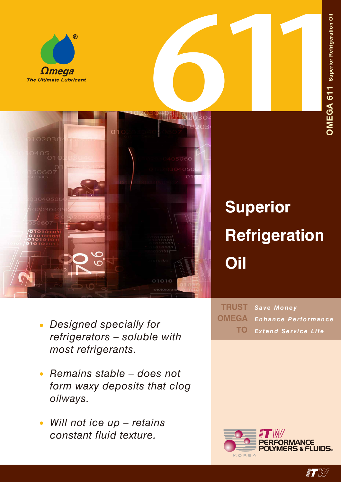



## **Superior Refrigeration Oil**

- *• Designed specially for refrigerators – soluble with most refrigerants.*
- *• Remains stable does not form waxy deposits that clog oilways.*
- *• Will not ice up retains constant fluid texture.*

*Save Money Enhance Performance Extend Service Life* **TRUST OMEGA TO**



**IT W**